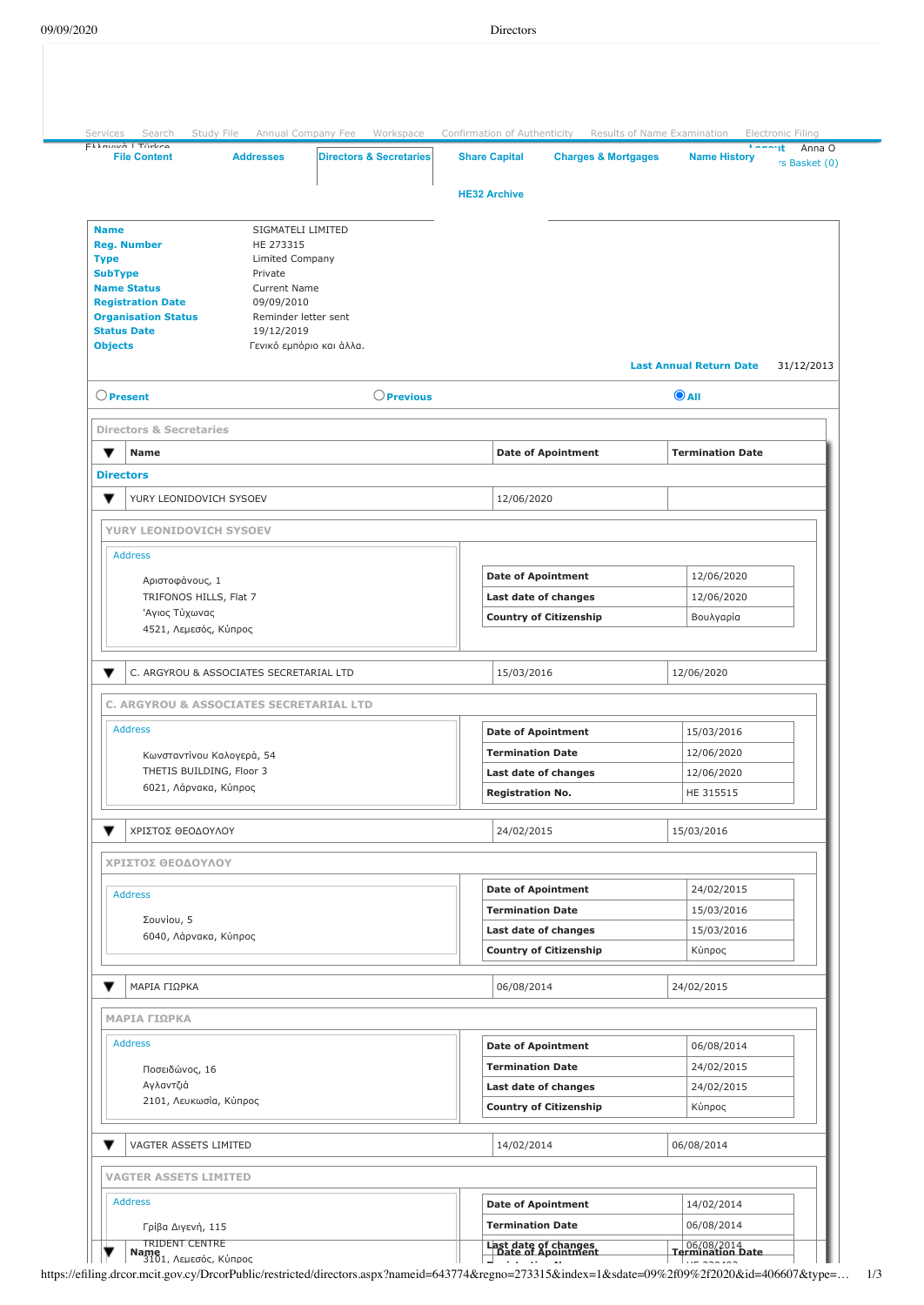| <b>File Content</b><br><b>Directors &amp; Secretaries</b><br><b>Addresses</b>                | <b>Share Capital</b><br><b>Charges &amp; Mortgages</b> | <b>Name History</b><br>rs Basket (0)         |
|----------------------------------------------------------------------------------------------|--------------------------------------------------------|----------------------------------------------|
|                                                                                              | <b>HE32 Archive</b>                                    |                                              |
| <b>Name</b><br>SIGMATELI LIMITED                                                             |                                                        |                                              |
| <b>Reg. Number</b><br>HE 273315<br><b>Type</b><br>Limited Company                            |                                                        |                                              |
| <b>SubType</b><br>Private                                                                    |                                                        |                                              |
| <b>Name Status</b><br>Current Name                                                           |                                                        |                                              |
| <b>Registration Date</b><br>09/09/2010<br><b>Organisation Status</b><br>Reminder letter sent |                                                        |                                              |
| <b>Status Date</b><br>19/12/2019                                                             |                                                        |                                              |
| <b>Objects</b><br>Γενικό εμπόριο και άλλα.                                                   |                                                        | <b>Last Annual Return Date</b><br>31/12/2013 |
| $\bigcirc$ Present<br>$\bigcirc$ Previous                                                    |                                                        | $\odot$ AII                                  |
| <b>Directors &amp; Secretaries</b>                                                           |                                                        |                                              |
| ▼<br><b>Name</b>                                                                             | <b>Date of Apointment</b>                              | <b>Termination Date</b>                      |
| <b>Directors</b>                                                                             |                                                        |                                              |
| ▼<br>YURY LEONIDOVICH SYSOEV                                                                 | 12/06/2020                                             |                                              |
| YURY LEONIDOVICH SYSOEV                                                                      |                                                        |                                              |
| <b>Address</b><br>Αριστοφάνους, 1                                                            | <b>Date of Apointment</b>                              | 12/06/2020                                   |
| TRIFONOS HILLS, Flat 7                                                                       | Last date of changes                                   | 12/06/2020                                   |
| Άγιος Τύχωνας                                                                                | <b>Country of Citizenship</b>                          | Βουλγαρία                                    |
| 4521, Λεμεσός, Κύπρος                                                                        |                                                        |                                              |
| C. ARGYROU & ASSOCIATES SECRETARIAL LTD                                                      | 15/03/2016                                             | 12/06/2020                                   |
| C. ARGYROU & ASSOCIATES SECRETARIAL LTD                                                      |                                                        |                                              |
| <b>Address</b>                                                                               | <b>Date of Apointment</b>                              | 15/03/2016                                   |
| Κωνσταντίνου Καλογερά, 54                                                                    | <b>Termination Date</b>                                | 12/06/2020                                   |
| THETIS BUILDING, Floor 3                                                                     | Last date of changes                                   | 12/06/2020                                   |
| 6021, Λάρνακα, Κύπρος                                                                        | <b>Registration No.</b>                                | HE 315515                                    |
| ΧΡΙΣΤΟΣ ΘΕΟΔΟΥΛΟΥ                                                                            | 24/02/2015                                             | 15/03/2016                                   |
| ΧΡΙΣΤΟΣ ΘΕΟΔΟΥΛΟΥ                                                                            |                                                        |                                              |
| <b>Address</b>                                                                               | <b>Date of Apointment</b>                              | 24/02/2015                                   |
|                                                                                              | <b>Termination Date</b>                                | 15/03/2016                                   |
| Σουνίου, 5<br>6040, Λάρνακα, Κύπρος                                                          | Last date of changes                                   | 15/03/2016                                   |
|                                                                                              | <b>Country of Citizenship</b>                          | Κύπρος                                       |
| ▼<br>ΜΑΡΙΑ ΓΙΩΡΚΑ                                                                            | 06/08/2014                                             | 24/02/2015                                   |
| ΜΑΡΙΑ ΓΙΩΡΚΑ                                                                                 |                                                        |                                              |
| <b>Address</b>                                                                               | <b>Date of Apointment</b>                              | 06/08/2014                                   |
| Ποσειδώνος, 16                                                                               | <b>Termination Date</b>                                | 24/02/2015                                   |
| Αγλαντζιά                                                                                    | Last date of changes                                   | 24/02/2015                                   |
| 2101, Λευκωσία, Κύπρος                                                                       | <b>Country of Citizenship</b>                          | Κύπρος                                       |
| ▼<br>VAGTER ASSETS LIMITED                                                                   | 14/02/2014                                             | 06/08/2014                                   |
| <b>VAGTER ASSETS LIMITED</b>                                                                 |                                                        |                                              |
| <b>Address</b>                                                                               | <b>Date of Apointment</b>                              | 14/02/2014                                   |
|                                                                                              |                                                        |                                              |
| Γρίβα Διγενή, 115                                                                            | <b>Termination Date</b>                                | 06/08/2014                                   |

https://efiling.drcor.mcit.gov.cy/DrcorPublic/restricted/directors.aspx?nameid=643774&regno=273315&index=1&sdate=09%2f09%2f2020&id=406607&type=… 1/3 **R i t ti N** ΗΕ 320493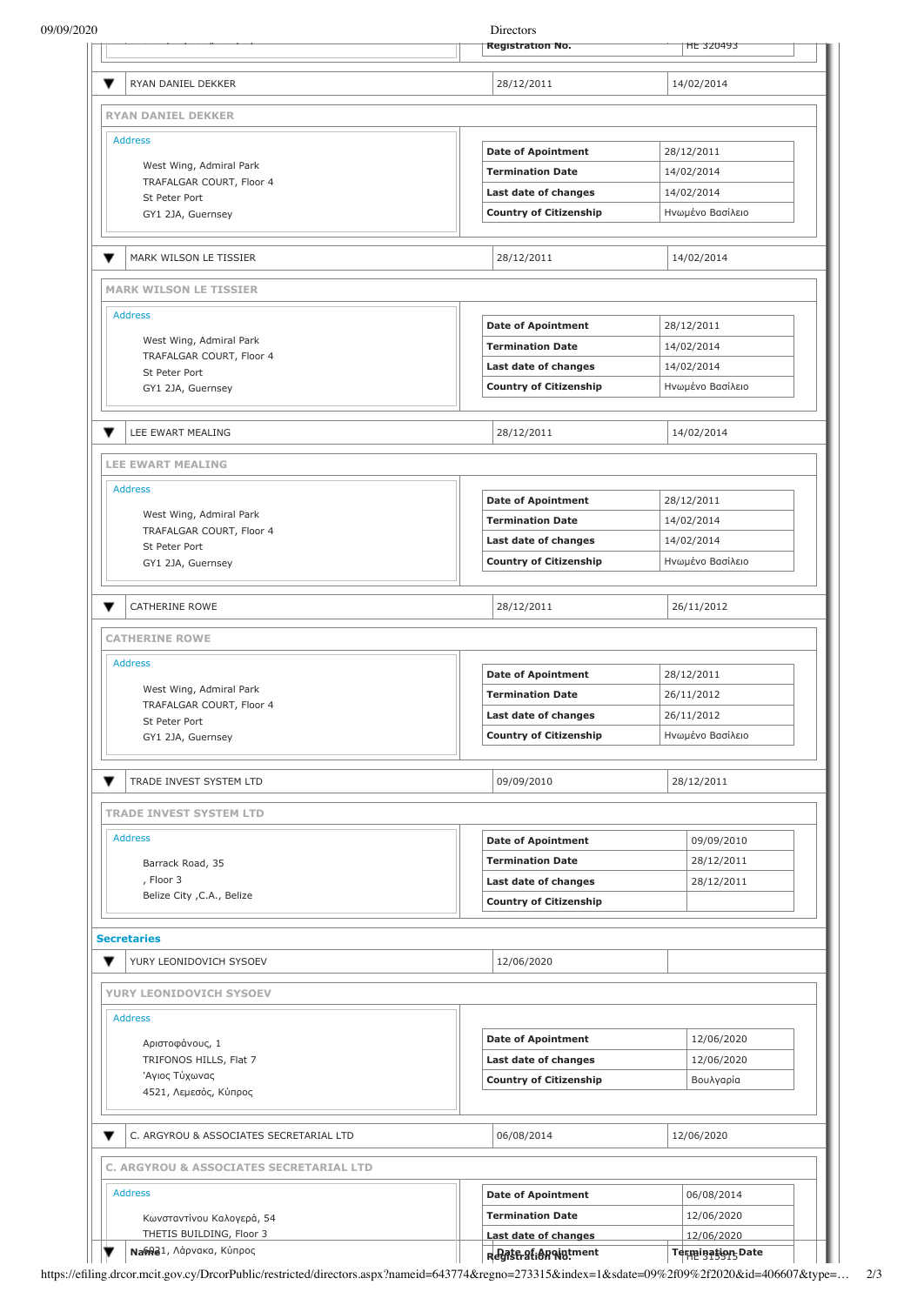| 09/09/2020                                            | Directors<br><b>Registration No.</b>                   | <b>HE 320493</b>         |
|-------------------------------------------------------|--------------------------------------------------------|--------------------------|
|                                                       |                                                        |                          |
| ▼<br>RYAN DANIEL DEKKER                               | 28/12/2011                                             | 14/02/2014               |
| <b>RYAN DANIEL DEKKER</b>                             |                                                        |                          |
| <b>Address</b>                                        |                                                        |                          |
| West Wing, Admiral Park                               | <b>Date of Apointment</b>                              | 28/12/2011               |
| TRAFALGAR COURT, Floor 4                              | <b>Termination Date</b>                                | 14/02/2014               |
| St Peter Port                                         | Last date of changes                                   | 14/02/2014               |
| GY1 2JA, Guernsey                                     | <b>Country of Citizenship</b>                          | Ηνωμένο Βασίλειο         |
| ▼<br>MARK WILSON LE TISSIER                           | 28/12/2011                                             | 14/02/2014               |
| <b>MARK WILSON LE TISSIER</b>                         |                                                        |                          |
| <b>Address</b>                                        |                                                        |                          |
| West Wing, Admiral Park                               | <b>Date of Apointment</b>                              | 28/12/2011               |
| TRAFALGAR COURT, Floor 4                              | <b>Termination Date</b>                                | 14/02/2014               |
| St Peter Port                                         | Last date of changes                                   | 14/02/2014               |
| GY1 2JA, Guernsey                                     | <b>Country of Citizenship</b>                          | Ηνωμένο Βασίλειο         |
| ▼<br>LEE EWART MEALING                                | 28/12/2011                                             | 14/02/2014               |
| <b>LEE EWART MEALING</b>                              |                                                        |                          |
| <b>Address</b>                                        |                                                        |                          |
|                                                       | <b>Date of Apointment</b>                              | 28/12/2011               |
| West Wing, Admiral Park<br>TRAFALGAR COURT, Floor 4   | <b>Termination Date</b>                                | 14/02/2014               |
| St Peter Port                                         | Last date of changes                                   | 14/02/2014               |
| GY1 2JA, Guernsey                                     | <b>Country of Citizenship</b>                          | Ηνωμένο Βασίλειο         |
|                                                       |                                                        |                          |
| CATHERINE ROWE                                        | 28/12/2011                                             | 26/11/2012               |
| <b>CATHERINE ROWE</b>                                 |                                                        |                          |
| <b>Address</b>                                        | <b>Date of Apointment</b>                              | 28/12/2011               |
| West Wing, Admiral Park                               | <b>Termination Date</b>                                | 26/11/2012               |
| TRAFALGAR COURT, Floor 4                              | Last date of changes                                   | 26/11/2012               |
| St Peter Port                                         |                                                        |                          |
| GY1 2JA, Guernsey                                     | <b>Country of Citizenship</b>                          | Ηνωμένο Βασίλειο         |
| ▼<br>TRADE INVEST SYSTEM LTD                          | 09/09/2010                                             | 28/12/2011               |
| <b>TRADE INVEST SYSTEM LTD</b>                        |                                                        |                          |
| <b>Address</b>                                        | <b>Date of Apointment</b>                              | 09/09/2010               |
| Barrack Road, 35                                      | <b>Termination Date</b>                                | 28/12/2011               |
| , Floor 3                                             | Last date of changes                                   | 28/12/2011               |
| Belize City , C.A., Belize                            | <b>Country of Citizenship</b>                          |                          |
| <b>Secretaries</b>                                    |                                                        |                          |
| YURY LEONIDOVICH SYSOEV                               | 12/06/2020                                             |                          |
| YURY LEONIDOVICH SYSOEV                               |                                                        |                          |
| <b>Address</b>                                        |                                                        |                          |
| Αριστοφάνους, 1                                       | <b>Date of Apointment</b>                              | 12/06/2020               |
| TRIFONOS HILLS, Flat 7                                | Last date of changes                                   | 12/06/2020               |
| Άγιος Τύχωνας                                         | <b>Country of Citizenship</b>                          | Βουλγαρία                |
|                                                       |                                                        |                          |
| 4521, Λεμεσός, Κύπρος                                 |                                                        |                          |
| ▼<br>C. ARGYROU & ASSOCIATES SECRETARIAL LTD          | 06/08/2014                                             | 12/06/2020               |
| C. ARGYROU & ASSOCIATES SECRETARIAL LTD               |                                                        |                          |
| <b>Address</b>                                        |                                                        |                          |
|                                                       | <b>Date of Apointment</b>                              | 06/08/2014               |
| Κωνσταντίνου Καλογερά, 54<br>THETIS BUILDING, Floor 3 | <b>Termination Date</b><br><b>Last date of changes</b> | 12/06/2020<br>12/06/2020 |